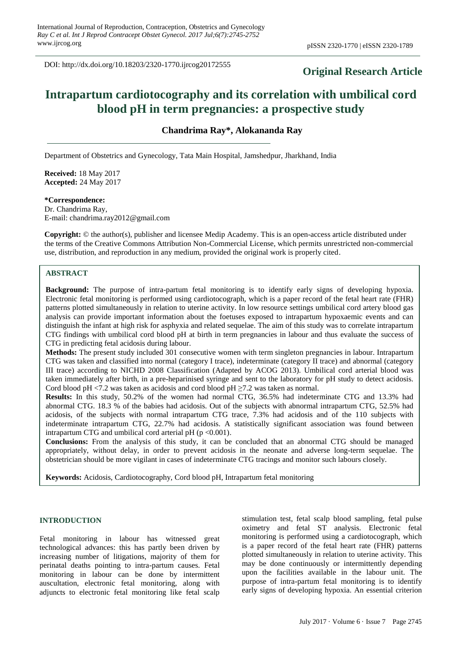DOI: http://dx.doi.org/10.18203/2320-1770.ijrcog20172555

## **Original Research Article**

# **Intrapartum cardiotocography and its correlation with umbilical cord blood pH in term pregnancies: a prospective study**

**Chandrima Ray\*, Alokananda Ray**

Department of Obstetrics and Gynecology, Tata Main Hospital, Jamshedpur, Jharkhand, India

**Received:** 18 May 2017 **Accepted:** 24 May 2017

**\*Correspondence:**

Dr. Chandrima Ray, E-mail: chandrima.ray2012@gmail.com

**Copyright:** © the author(s), publisher and licensee Medip Academy. This is an open-access article distributed under the terms of the Creative Commons Attribution Non-Commercial License, which permits unrestricted non-commercial use, distribution, and reproduction in any medium, provided the original work is properly cited.

## **ABSTRACT**

**Background:** The purpose of intra-partum fetal monitoring is to identify early signs of developing hypoxia. Electronic fetal monitoring is performed using cardiotocograph, which is a paper record of the fetal heart rate (FHR) patterns plotted simultaneously in relation to uterine activity. In low resource settings umbilical cord artery blood gas analysis can provide important information about the foetuses exposed to intrapartum hypoxaemic events and can distinguish the infant at high risk for asphyxia and related sequelae. The aim of this study was to correlate intrapartum CTG findings with umbilical cord blood pH at birth in term pregnancies in labour and thus evaluate the success of CTG in predicting fetal acidosis during labour.

**Methods:** The present study included 301 consecutive women with term singleton pregnancies in labour. Intrapartum CTG was taken and classified into normal (category I trace), indeterminate (category II trace) and abnormal (category III trace) according to NICHD 2008 Classification (Adapted by ACOG 2013). Umbilical cord arterial blood was taken immediately after birth, in a pre-heparinised syringe and sent to the laboratory for pH study to detect acidosis. Cord blood pH <7.2 was taken as acidosis and cord blood pH  $\geq$ 7.2 was taken as normal.

**Results:** In this study, 50.2% of the women had normal CTG, 36.5% had indeterminate CTG and 13.3% had abnormal CTG. 18.3 % of the babies had acidosis. Out of the subjects with abnormal intrapartum CTG, 52.5% had acidosis, of the subjects with normal intrapartum CTG trace, 7.3% had acidosis and of the 110 subjects with indeterminate intrapartum CTG, 22.7% had acidosis. A statistically significant association was found between intrapartum CTG and umbilical cord arterial pH ( $p < 0.001$ ).

**Conclusions:** From the analysis of this study, it can be concluded that an abnormal CTG should be managed appropriately, without delay, in order to prevent acidosis in the neonate and adverse long-term sequelae. The obstetrician should be more vigilant in cases of indeterminate CTG tracings and monitor such labours closely.

**Keywords:** Acidosis, Cardiotocography, Cord blood pH, Intrapartum fetal monitoring

## **INTRODUCTION**

Fetal monitoring in labour has witnessed great technological advances: this has partly been driven by increasing number of litigations, majority of them for perinatal deaths pointing to intra-partum causes. Fetal monitoring in labour can be done by intermittent auscultation, electronic fetal monitoring, along with adjuncts to electronic fetal monitoring like fetal scalp stimulation test, fetal scalp blood sampling, fetal pulse oximetry and fetal ST analysis. Electronic fetal monitoring is performed using a cardiotocograph, which is a paper record of the fetal heart rate (FHR) patterns plotted simultaneously in relation to uterine activity. This may be done continuously or intermittently depending upon the facilities available in the labour unit. The purpose of intra-partum fetal monitoring is to identify early signs of developing hypoxia. An essential criterion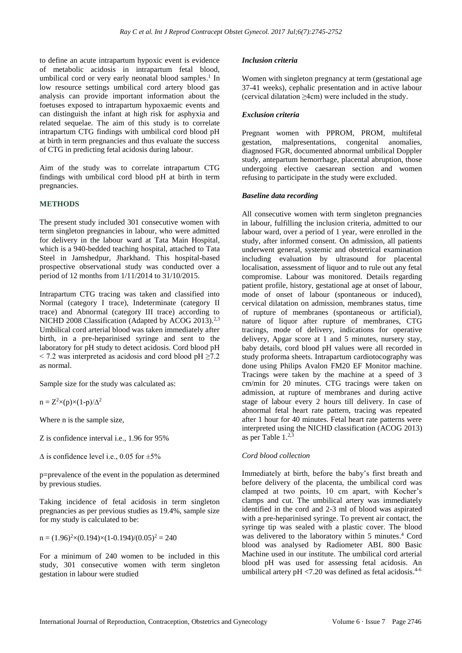to define an acute intrapartum hypoxic event is evidence of metabolic acidosis in intrapartum fetal blood, umbilical cord or very early neonatal blood samples.<sup>1</sup> In low resource settings umbilical cord artery blood gas analysis can provide important information about the foetuses exposed to intrapartum hypoxaemic events and can distinguish the infant at high risk for asphyxia and related sequelae. The aim of this study is to correlate intrapartum CTG findings with umbilical cord blood pH at birth in term pregnancies and thus evaluate the success of CTG in predicting fetal acidosis during labour.

Aim of the study was to correlate intrapartum CTG findings with umbilical cord blood pH at birth in term pregnancies.

## **METHODS**

The present study included 301 consecutive women with term singleton pregnancies in labour, who were admitted for delivery in the labour ward at Tata Main Hospital, which is a 940-bedded teaching hospital, attached to Tata Steel in Jamshedpur, Jharkhand. This hospital-based prospective observational study was conducted over a period of 12 months from 1/11/2014 to 31/10/2015.

Intrapartum CTG tracing was taken and classified into Normal (category I trace), Indeterminate (category II trace) and Abnormal (category III trace) according to NICHD 2008 Classification (Adapted by ACOG 2013).<sup>2,3</sup> Umbilical cord arterial blood was taken immediately after birth, in a pre-heparinised syringe and sent to the laboratory for pH study to detect acidosis. Cord blood pH  $\le$  7.2 was interpreted as acidosis and cord blood pH  $\ge$  7.2 as normal.

Sample size for the study was calculated as:

 $n = Z^2 \times (p) \times (1-p)/\Delta^2$ 

Where n is the sample size,

Z is confidence interval i.e., 1.96 for 95%

 $\Delta$  is confidence level i.e., 0.05 for  $\pm 5\%$ 

p=prevalence of the event in the population as determined by previous studies.

Taking incidence of fetal acidosis in term singleton pregnancies as per previous studies as 19.4%, sample size for my study is calculated to be:

 $n = (1.96)^{2} \times (0.194) \times (1-0.194) / (0.05)^{2} = 240$ 

For a minimum of 240 women to be included in this study, 301 consecutive women with term singleton gestation in labour were studied

#### *Inclusion criteria*

Women with singleton pregnancy at term (gestational age 37-41 weeks), cephalic presentation and in active labour (cervical dilatation ≥4cm) were included in the study.

#### *Exclusion criteria*

Pregnant women with PPROM, PROM, multifetal gestation, malpresentations, congenital anomalies, diagnosed FGR, documented abnormal umbilical Doppler study, antepartum hemorrhage, placental abruption, those undergoing elective caesarean section and women refusing to participate in the study were excluded.

## *Baseline data recording*

All consecutive women with term singleton pregnancies in labour, fulfilling the inclusion criteria, admitted to our labour ward, over a period of 1 year, were enrolled in the study, after informed consent. On admission, all patients underwent general, systemic and obstetrical examination including evaluation by ultrasound for placental localisation, assessment of liquor and to rule out any fetal compromise. Labour was monitored. Details regarding patient profile, history, gestational age at onset of labour, mode of onset of labour (spontaneous or induced), cervical dilatation on admission, membranes status, time of rupture of membranes (spontaneous or artificial), nature of liquor after rupture of membranes, CTG tracings, mode of delivery, indications for operative delivery, Apgar score at 1 and 5 minutes, nursery stay, baby details, cord blood pH values were all recorded in study proforma sheets. Intrapartum cardiotocography was done using Philips Avalon FM20 EF Monitor machine. Tracings were taken by the machine at a speed of 3 cm/min for 20 minutes. CTG tracings were taken on admission, at rupture of membranes and during active stage of labour every 2 hours till delivery. In case of abnormal fetal heart rate pattern, tracing was repeated after 1 hour for 40 minutes. Fetal heart rate patterns were interpreted using the NICHD classification (ACOG 2013) as per Table 1. 2,3

## *Cord blood collection*

Immediately at birth, before the baby's first breath and before delivery of the placenta, the umbilical cord was clamped at two points, 10 cm apart, with Kocher's clamps and cut. The umbilical artery was immediately identified in the cord and 2-3 ml of blood was aspirated with a pre-heparinised syringe. To prevent air contact, the syringe tip was sealed with a plastic cover. The blood was delivered to the laboratory within 5 minutes. <sup>4</sup> Cord blood was analysed by Radiometer ABL 800 Basic Machine used in our institute. The umbilical cord arterial blood pH was used for assessing fetal acidosis. An umbilical artery  $pH < 7.20$  was defined as fetal acidosis.<sup>4-6</sup>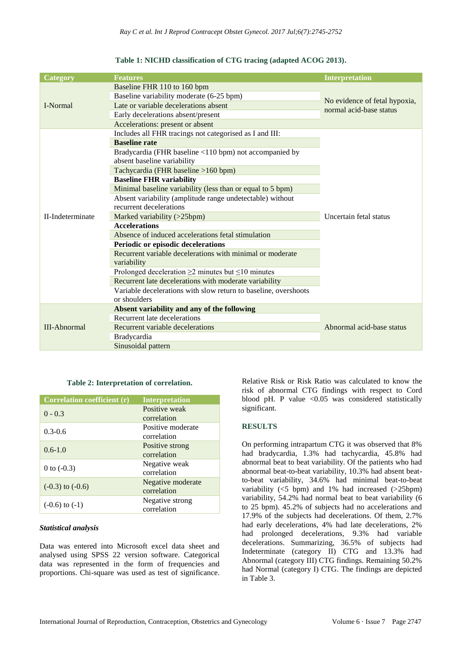| <b>Category</b>     | <b>Features</b>                                                 | <b>Interpretation</b>                                    |  |
|---------------------|-----------------------------------------------------------------|----------------------------------------------------------|--|
| I-Normal            | Baseline FHR 110 to 160 bpm                                     | No evidence of fetal hypoxia,<br>normal acid-base status |  |
|                     | Baseline variability moderate (6-25 bpm)                        |                                                          |  |
|                     | Late or variable decelerations absent                           |                                                          |  |
|                     | Early decelerations absent/present                              |                                                          |  |
|                     | Accelerations: present or absent                                |                                                          |  |
|                     | Includes all FHR tracings not categorised as I and III:         |                                                          |  |
|                     | <b>Baseline rate</b>                                            |                                                          |  |
|                     | Bradycardia (FHR baseline <110 bpm) not accompanied by          |                                                          |  |
|                     | absent baseline variability                                     |                                                          |  |
|                     | Tachycardia (FHR baseline >160 bpm)                             |                                                          |  |
|                     | <b>Baseline FHR variability</b>                                 |                                                          |  |
|                     | Minimal baseline variability (less than or equal to 5 bpm)      |                                                          |  |
|                     | Absent variability (amplitude range undetectable) without       | Uncertain fetal status                                   |  |
|                     | recurrent decelerations                                         |                                                          |  |
| II-Indeterminate    | Marked variability (>25bpm)                                     |                                                          |  |
|                     | <b>Accelerations</b>                                            |                                                          |  |
|                     | Absence of induced accelerations fetal stimulation              |                                                          |  |
|                     | Periodic or episodic decelerations                              |                                                          |  |
|                     | Recurrent variable decelerations with minimal or moderate       |                                                          |  |
|                     | variability                                                     |                                                          |  |
|                     | Prolonged deceleration $\geq$ 2 minutes but $\leq$ 10 minutes   |                                                          |  |
|                     | Recurrent late decelerations with moderate variability          |                                                          |  |
|                     | Variable decelerations with slow return to baseline, overshoots |                                                          |  |
|                     | or shoulders                                                    |                                                          |  |
| <b>III-Abnormal</b> | Absent variability and any of the following                     |                                                          |  |
|                     | Recurrent late decelerations                                    | Abnormal acid-base status                                |  |
|                     | Recurrent variable decelerations                                |                                                          |  |
|                     | <b>Bradycardia</b>                                              |                                                          |  |
|                     | Sinusoidal pattern                                              |                                                          |  |

## **Table 1: NICHD classification of CTG tracing (adapted ACOG 2013).**

#### **Table 2: Interpretation of correlation.**

| Correlation coefficient (r) | <b>Interpretation</b>            |
|-----------------------------|----------------------------------|
| $0 - 0.3$                   | Positive weak<br>correlation     |
| $0.3 - 0.6$                 | Positive moderate<br>correlation |
| $0.6 - 1.0$                 | Positive strong<br>correlation   |
| 0 to $(-0.3)$               | Negative weak<br>correlation     |
| $(-0.3)$ to $(-0.6)$        | Negative moderate<br>correlation |
| $(-0.6)$ to $(-1)$          | Negative strong<br>correlation   |

## *Statistical analysis*

Data was entered into Microsoft excel data sheet and analysed using SPSS 22 version software. Categorical data was represented in the form of frequencies and proportions. Chi-square was used as test of significance. Relative Risk or Risk Ratio was calculated to know the risk of abnormal CTG findings with respect to Cord blood pH. P value  $< 0.05$  was considered statistically significant.

## **RESULTS**

On performing intrapartum CTG it was observed that 8% had bradycardia, 1.3% had tachycardia, 45.8% had abnormal beat to beat variability. Of the patients who had abnormal beat-to-beat variability, 10.3% had absent beatto-beat variability, 34.6% had minimal beat-to-beat variability  $(<5$  bpm) and 1% had increased  $(>25$ bpm) variability, 54.2% had normal beat to beat variability (6 to 25 bpm). 45.2% of subjects had no accelerations and 17.9% of the subjects had decelerations. Of them, 2.7% had early decelerations, 4% had late decelerations, 2% had prolonged decelerations, 9.3% had variable decelerations. Summarizing, 36.5% of subjects had Indeterminate (category II) CTG and 13.3% had Abnormal (category III) CTG findings. Remaining 50.2% had Normal (category I) CTG. The findings are depicted in Table 3.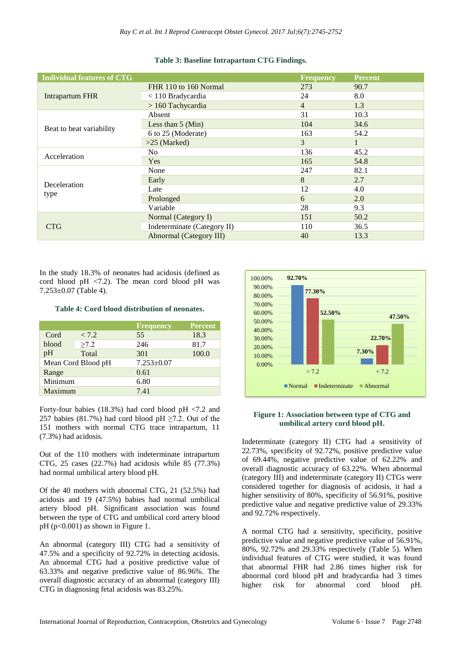| <b>Individual features of CTG</b> |                             | <b>Frequency</b> | <b>Percent</b> |
|-----------------------------------|-----------------------------|------------------|----------------|
|                                   | FHR 110 to 160 Normal       | 273              | 90.7           |
| <b>Intrapartum FHR</b>            | < 110 Bradycardia           | 24               | 8.0            |
|                                   | $> 160$ Tachycardia         | $\overline{4}$   | 1.3            |
|                                   | Absent                      | 31               | 10.3           |
|                                   | Less than $5 \times (Min)$  | 104              | 34.6           |
| Beat to beat variability          | 6 to 25 (Moderate)          | 163              | 54.2           |
|                                   | $>25$ (Marked)              | 3                |                |
| Acceleration                      | N <sub>0</sub>              | 136              | 45.2           |
|                                   | Yes                         | 165              | 54.8           |
|                                   | None                        | 247              | 82.1           |
| Deceleration                      | Early                       | 8                | 2.7            |
|                                   | Late                        | 12               | 4.0            |
| type                              | Prolonged                   | 6                | 2.0            |
|                                   | Variable                    | 28               | 9.3            |
|                                   | Normal (Category I)         | 151              | 50.2           |
| <b>CTG</b>                        | Indeterminate (Category II) | 110              | 36.5           |
|                                   | Abnormal (Category III)     | 40               | 13.3           |

## **Table 3: Baseline Intrapartum CTG Findings.**

In the study 18.3% of neonates had acidosis (defined as cord blood pH  $\langle 7.2 \rangle$ . The mean cord blood pH was 7.253±0.07 (Table 4).

#### **Table 4: Cord blood distribution of neonates.**

|                    |            | <b>Frequency</b> | <b>Percent</b> |
|--------------------|------------|------------------|----------------|
| Cord               | < 7.2      | 55               | 18.3           |
| blood              | $\geq 7.2$ | 246              | 81.7           |
| pH                 | Total      | 301              | 100.0          |
| Mean Cord Blood pH |            | $7.253 \pm 0.07$ |                |
| Range              |            | 0.61             |                |
| Minimum            |            | 6.80             |                |
| Maximum            |            | 7.41             |                |

Forty-four babies (18.3%) had cord blood pH <7.2 and 257 babies (81.7%) had cord blood pH  $\geq$ 7.2. Out of the 151 mothers with normal CTG trace intrapartum, 11 (7.3%) had acidosis.

Out of the 110 mothers with indeterminate intrapartum CTG, 25 cases (22.7%) had acidosis while 85 (77.3%) had normal umbilical artery blood pH.

Of the 40 mothers with abnormal CTG, 21 (52.5%) had acidosis and 19 (47.5%) babies had normal umbilical artery blood pH. Significant association was found between the type of CTG and umbilical cord artery blood  $pH$  ( $p<0.001$ ) as shown in Figure 1.

An abnormal (category III) CTG had a sensitivity of 47.5% and a specificity of 92.72% in detecting acidosis. An abnormal CTG had a positive predictive value of 63.33% and negative predictive value of 86.96%. The overall diagnostic accuracy of an abnormal (category III) CTG in diagnosing fetal acidosis was 83.25%.



## **Figure 1: Association between type of CTG and umbilical artery cord blood pH.**

Indeterminate (category II) CTG had a sensitivity of 22.73%, specificity of 92.72%, positive predictive value of 69.44%, negative predictive value of 62.22% and overall diagnostic accuracy of 63.22%. When abnormal (category III) and indeterminate (category II) CTGs were considered together for diagnosis of acidosis, it had a higher sensitivity of 80%, specificity of 56.91%, positive predictive value and negative predictive value of 29.33% and 92.72% respectively.

A normal CTG had a sensitivity, specificity, positive predictive value and negative predictive value of 56.91%, 80%, 92.72% and 29.33% respectively (Table 5). When individual features of CTG were studied, it was found that abnormal FHR had 2.86 times higher risk for abnormal cord blood pH and bradycardia had 3 times higher risk for abnormal cord blood pH.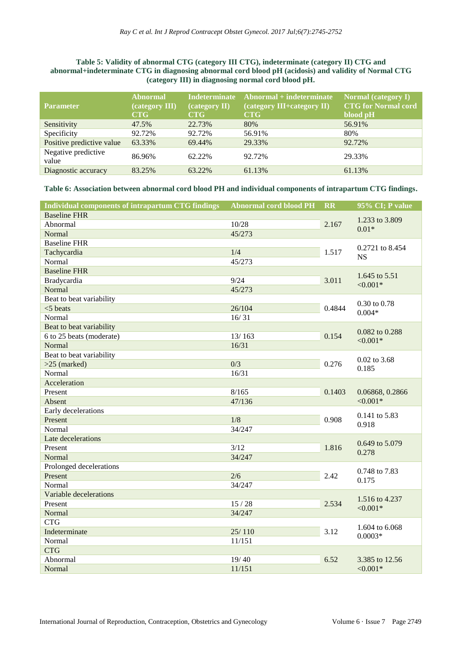## **Table 5: Validity of abnormal CTG (category III CTG), indeterminate (category II) CTG and abnormal+indeterminate CTG in diagnosing abnormal cord blood pH (acidosis) and validity of Normal CTG (category III) in diagnosing normal cord blood pH.**

| <b>Parameter</b>             | <b>Abnormal</b><br>(category III)<br><b>CTG</b> | <b>Indeterminate</b><br>(category II)<br>CTG | Abnormal + indeterminate<br>(category III+category II)<br><b>CTG</b> | Normal (category I)<br><b>CTG</b> for Normal cord<br>blood pH |
|------------------------------|-------------------------------------------------|----------------------------------------------|----------------------------------------------------------------------|---------------------------------------------------------------|
| Sensitivity                  | 47.5%                                           | 22.73%                                       | 80%                                                                  | 56.91%                                                        |
| Specificity                  | 92.72%                                          | 92.72%                                       | 56.91%                                                               | 80%                                                           |
| Positive predictive value    | 63.33%                                          | 69.44%                                       | 29.33%                                                               | 92.72%                                                        |
| Negative predictive<br>value | 86.96%                                          | 62.22%                                       | 92.72%                                                               | 29.33%                                                        |
| Diagnostic accuracy          | 83.25%                                          | 63.22%                                       | 61.13%                                                               | 61.13%                                                        |

**Table 6: Association between abnormal cord blood PH and individual components of intrapartum CTG findings.**

| Individual components of intrapartum CTG findings | <b>Abnormal cord blood PH</b> | <b>RR</b>      | 95% CI; P value               |
|---------------------------------------------------|-------------------------------|----------------|-------------------------------|
| <b>Baseline FHR</b>                               |                               |                |                               |
| 10/28<br>Abnormal                                 |                               |                | 1.233 to 3.809<br>$0.01*$     |
| Normal                                            | 45/273                        |                |                               |
| <b>Baseline FHR</b>                               |                               |                | 0.2721 to 8.454               |
| Tachycardia<br>1/4                                |                               |                | <b>NS</b>                     |
| Normal                                            | 45/273                        |                |                               |
| <b>Baseline FHR</b>                               |                               |                | 1.645 to 5.51                 |
| Bradycardia                                       | 9/24                          | 3.011          | $< 0.001*$                    |
| Normal                                            | 45/273                        |                |                               |
| Beat to beat variability                          |                               | 0.4844         | 0.30 to 0.78                  |
| $<$ 5 beats                                       | 26/104                        |                |                               |
| Normal                                            | 16/31                         |                | $0.004*$                      |
| Beat to beat variability                          |                               |                | 0.082 to 0.288                |
| 6 to 25 beats (moderate)                          | 13/163                        | 0.154          | $< 0.001*$                    |
| Normal                                            | 16/31                         |                |                               |
| Beat to beat variability                          |                               |                | 0.02 to 3.68<br>0.185         |
| $>25$ (marked)                                    | 0/3                           | 0.276          |                               |
| Normal                                            | 16/31                         |                |                               |
| Acceleration                                      |                               |                |                               |
| Present                                           | 8/165                         | 0.1403         | 0.06868, 0.2866<br>$< 0.001*$ |
| Absent                                            | 47/136                        |                |                               |
| Early decelerations                               |                               |                | 0.141 to 5.83                 |
| Present                                           | 1/8                           | 0.908          | 0.918                         |
| Normal                                            | 34/247                        |                |                               |
| Late decelerations                                |                               | 1.816          | 0.649 to 5.079<br>0.278       |
| Present                                           | 3/12                          |                |                               |
| Normal                                            | 34/247                        |                |                               |
| Prolonged decelerations                           |                               |                | 0.748 to 7.83<br>0.175        |
| Present                                           | 2/6                           | 2.42           |                               |
| Normal                                            | 34/247                        |                |                               |
| Variable decelerations                            |                               | 1.516 to 4.237 |                               |
| Present                                           | 15/28                         | 2.534          | $< 0.001*$                    |
| Normal                                            | 34/247                        |                |                               |
| <b>CTG</b>                                        |                               | 1.604 to 6.068 |                               |
| Indeterminate                                     | 25/110                        | 3.12           | $0.0003*$                     |
| Normal                                            | 11/151                        |                |                               |
| <b>CTG</b>                                        |                               |                |                               |
| Abnormal                                          | 19/40                         | 6.52           | 3.385 to 12.56<br>$< 0.001*$  |
| Normal                                            | 11/151                        |                |                               |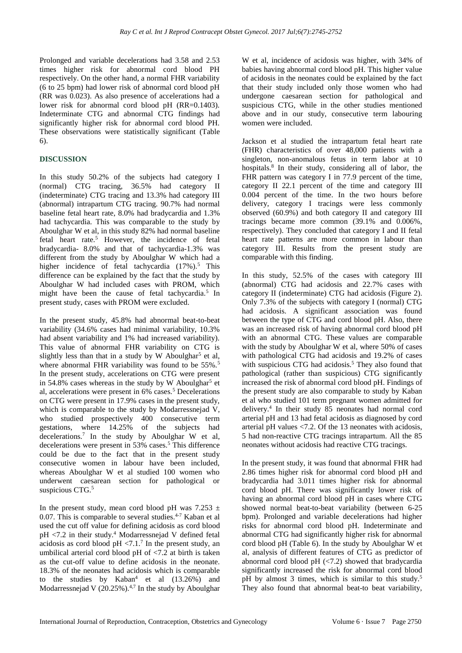Prolonged and variable decelerations had 3.58 and 2.53 times higher risk for abnormal cord blood PH respectively. On the other hand, a normal FHR variability (6 to 25 bpm) had lower risk of abnormal cord blood pH (RR was 0.023). As also presence of accelerations had a lower risk for abnormal cord blood pH (RR=0.1403). Indeterminate CTG and abnormal CTG findings had significantly higher risk for abnormal cord blood PH. These observations were statistically significant (Table 6).

## **DISCUSSION**

In this study 50.2% of the subjects had category I (normal) CTG tracing, 36.5% had category II (indeterminate) CTG tracing and 13.3% had category III (abnormal) intrapartum CTG tracing. 90.7% had normal baseline fetal heart rate, 8.0% had bradycardia and 1.3% had tachycardia. This was comparable to the study by Aboulghar W et al, in this study 82% had normal baseline fetal heart rate.<sup>5</sup> However, the incidence of fetal bradycardia- 8.0% and that of tachycardia-1.3% was different from the study by Aboulghar W which had a higher incidence of fetal tachycardia (17%).<sup>5</sup> This difference can be explained by the fact that the study by Aboulghar W had included cases with PROM, which might have been the cause of fetal tachycardia.<sup>5</sup> In present study, cases with PROM were excluded.

In the present study, 45.8% had abnormal beat-to-beat variability (34.6% cases had minimal variability, 10.3% had absent variability and 1% had increased variability). This value of abnormal FHR variability on CTG is slightly less than that in a study by W Aboulghar<sup>5</sup> et al, where abnormal FHR variability was found to be 55%.<sup>5</sup> In the present study, accelerations on CTG were present in 54.8% cases whereas in the study by W Aboulghar<sup>5</sup> et al, accelerations were present in 6% cases.<sup>5</sup> Decelerations on CTG were present in 17.9% cases in the present study, which is comparable to the study by Modarressnejad V, who studied prospectively 400 consecutive term gestations, where 14.25% of the subjects had decelerations.<sup>7</sup> In the study by Aboulghar W et al, decelerations were present in 53% cases.<sup>5</sup> This difference could be due to the fact that in the present study consecutive women in labour have been included, whereas Aboulghar W et al studied 100 women who underwent caesarean section for pathological or suspicious CTG.<sup>5</sup>

In the present study, mean cord blood pH was 7.253  $\pm$ 0.07. This is comparable to several studies. $4-7$  Kaban et al used the cut off value for defining acidosis as cord blood pH <7.2 in their study.<sup>4</sup> Modarressnejad V defined fetal acidosis as cord blood  $pH < 7.1$ .<sup>7</sup> In the present study, an umbilical arterial cord blood pH of <7.2 at birth is taken as the cut-off value to define acidosis in the neonate. 18.3% of the neonates had acidosis which is comparable to the studies by  $Kaban^4$  et al  $(13.26%)$  and Modarressnejad V  $(20.25\%)$ .<sup>4,7</sup> In the study by Aboulghar W et al, incidence of acidosis was higher, with 34% of babies having abnormal cord blood pH. This higher value of acidosis in the neonates could be explained by the fact that their study included only those women who had undergone caesarean section for pathological and suspicious CTG, while in the other studies mentioned above and in our study, consecutive term labouring women were included.

Jackson et al studied the intrapartum fetal heart rate (FHR) characteristics of over 48,000 patients with a singleton, non-anomalous fetus in term labor at 10 hospitals.<sup>8</sup> In their study, considering all of labor, the FHR pattern was category I in 77.9 percent of the time, category II 22.1 percent of the time and category III 0.004 percent of the time. In the two hours before delivery, category I tracings were less commonly observed (60.9%) and both category II and category III tracings became more common (39.1% and 0.006%, respectively). They concluded that category I and II fetal heart rate patterns are more common in labour than category III. Results from the present study are comparable with this finding.

In this study, 52.5% of the cases with category III (abnormal) CTG had acidosis and 22.7% cases with category II (indeterminate) CTG had acidosis (Figure 2). Only 7.3% of the subjects with category I (normal) CTG had acidosis. A significant association was found between the type of CTG and cord blood pH. Also, there was an increased risk of having abnormal cord blood pH with an abnormal CTG. These values are comparable with the study by Aboulghar W et al, where 50% of cases with pathological CTG had acidosis and 19.2% of cases with suspicious CTG had acidosis.<sup>5</sup> They also found that pathological (rather than suspicious) CTG significantly increased the risk of abnormal cord blood pH. Findings of the present study are also comparable to study by Kaban et al who studied 101 term pregnant women admitted for delivery.<sup>4</sup> In their study 85 neonates had normal cord arterial pH and 13 had fetal acidosis as diagnosed by cord arterial pH values <7.2. Of the 13 neonates with acidosis, 5 had non-reactive CTG tracings intrapartum. All the 85 neonates without acidosis had reactive CTG tracings.

In the present study, it was found that abnormal FHR had 2.86 times higher risk for abnormal cord blood pH and bradycardia had 3.011 times higher risk for abnormal cord blood pH. There was significantly lower risk of having an abnormal cord blood pH in cases where CTG showed normal beat-to-beat variability (between 6-25 bpm). Prolonged and variable decelerations had higher risks for abnormal cord blood pH. Indeterminate and abnormal CTG had significantly higher risk for abnormal cord blood pH (Table 6). In the study by Aboulghar W et al, analysis of different features of CTG as predictor of abnormal cord blood  $pH$  ( $\langle 7.2 \rangle$ ) showed that bradycardia significantly increased the risk for abnormal cord blood pH by almost 3 times, which is similar to this study.<sup>5</sup> They also found that abnormal beat-to beat variability,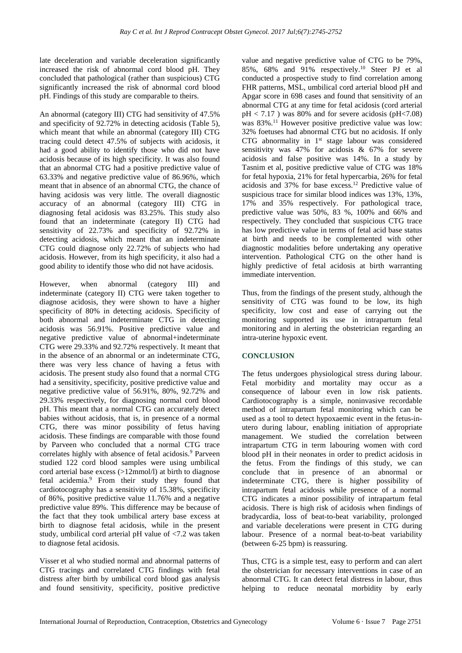late deceleration and variable deceleration significantly increased the risk of abnormal cord blood pH. They concluded that pathological (rather than suspicious) CTG significantly increased the risk of abnormal cord blood pH. Findings of this study are comparable to theirs.

An abnormal (category III) CTG had sensitivity of 47.5% and specificity of 92.72% in detecting acidosis (Table 5), which meant that while an abnormal (category III) CTG tracing could detect 47.5% of subjects with acidosis, it had a good ability to identify those who did not have acidosis because of its high specificity. It was also found that an abnormal CTG had a positive predictive value of 63.33% and negative predictive value of 86.96%, which meant that in absence of an abnormal CTG, the chance of having acidosis was very little. The overall diagnostic accuracy of an abnormal (category III) CTG in diagnosing fetal acidosis was 83.25%. This study also found that an indeterminate (category II) CTG had sensitivity of 22.73% and specificity of 92.72% in detecting acidosis, which meant that an indeterminate CTG could diagnose only 22.72% of subjects who had acidosis. However, from its high specificity, it also had a good ability to identify those who did not have acidosis.

However, when abnormal (category III) and indeterminate (category II) CTG were taken together to diagnose acidosis, they were shown to have a higher specificity of 80% in detecting acidosis. Specificity of both abnormal and indeterminate CTG in detecting acidosis was 56.91%. Positive predictive value and negative predictive value of abnormal+indeterminate CTG were 29.33% and 92.72% respectively. It meant that in the absence of an abnormal or an indeterminate CTG, there was very less chance of having a fetus with acidosis. The present study also found that a normal CTG had a sensitivity, specificity, positive predictive value and negative predictive value of 56.91%, 80%, 92.72% and 29.33% respectively, for diagnosing normal cord blood pH. This meant that a normal CTG can accurately detect babies without acidosis, that is, in presence of a normal CTG, there was minor possibility of fetus having acidosis. These findings are comparable with those found by Parveen who concluded that a normal CTG trace correlates highly with absence of fetal acidosis.<sup>9</sup> Parveen studied 122 cord blood samples were using umbilical cord arterial base excess (>12mmol/l) at birth to diagnose fetal acidemia.<sup>9</sup> From their study they found that cardiotocography has a sensitivity of 15.38%, specificity of 86%, positive predictive value 11.76% and a negative predictive value 89%. This difference may be because of the fact that they took umbilical artery base excess at birth to diagnose fetal acidosis, while in the present study, umbilical cord arterial pH value of <7.2 was taken to diagnose fetal acidosis.

Visser et al who studied normal and abnormal patterns of CTG tracings and correlated CTG findings with fetal distress after birth by umbilical cord blood gas analysis and found sensitivity, specificity, positive predictive value and negative predictive value of CTG to be 79%, 85%, 68% and 91% respectively.<sup>10</sup> Steer PJ et al conducted a prospective study to find correlation among FHR patterns, MSL, umbilical cord arterial blood pH and Apgar score in 698 cases and found that sensitivity of an abnormal CTG at any time for fetal acidosis (cord arterial  $pH < 7.17$  ) was 80% and for severe acidosis ( $pH < 7.08$ ) was 83%.<sup>11</sup> However positive predictive value was low: 32% foetuses had abnormal CTG but no acidosis. If only CTG abnormality in 1<sup>st</sup> stage labour was considered sensitivity was 47% for acidosis & 67% for severe acidosis and false positive was 14%. In a study by Tasnim et al, positive predictive value of CTG was 18% for fetal hypoxia, 21% for fetal hypercarbia, 26% for fetal acidosis and 37% for base excess.<sup>12</sup> Predictive value of suspicious trace for similar blood indices was 13%, 13%, 17% and 35% respectively. For pathological trace, predictive value was 50%, 83 %, 100% and 66% and respectively. They concluded that suspicious CTG trace has low predictive value in terms of fetal acid base status at birth and needs to be complemented with other diagnostic modalities before undertaking any operative intervention. Pathological CTG on the other hand is highly predictive of fetal acidosis at birth warranting immediate intervention.

Thus, from the findings of the present study, although the sensitivity of CTG was found to be low, its high specificity, low cost and ease of carrying out the monitoring supported its use in intrapartum fetal monitoring and in alerting the obstetrician regarding an intra-uterine hypoxic event.

## **CONCLUSION**

The fetus undergoes physiological stress during labour. Fetal morbidity and mortality may occur as a consequence of labour even in low risk patients. Cardiotocography is a simple, noninvasive recordable method of intrapartum fetal monitoring which can be used as a tool to detect hypoxaemic event in the fetus-inutero during labour, enabling initiation of appropriate management. We studied the correlation between intrapartum CTG in term labouring women with cord blood pH in their neonates in order to predict acidosis in the fetus. From the findings of this study, we can conclude that in presence of an abnormal or indeterminate CTG, there is higher possibility of intrapartum fetal acidosis while presence of a normal CTG indicates a minor possibility of intrapartum fetal acidosis. There is high risk of acidosis when findings of bradycardia, loss of beat-to-beat variability, prolonged and variable decelerations were present in CTG during labour. Presence of a normal beat-to-beat variability (between 6-25 bpm) is reassuring.

Thus, CTG is a simple test, easy to perform and can alert the obstetrician for necessary interventions in case of an abnormal CTG. It can detect fetal distress in labour, thus helping to reduce neonatal morbidity by early